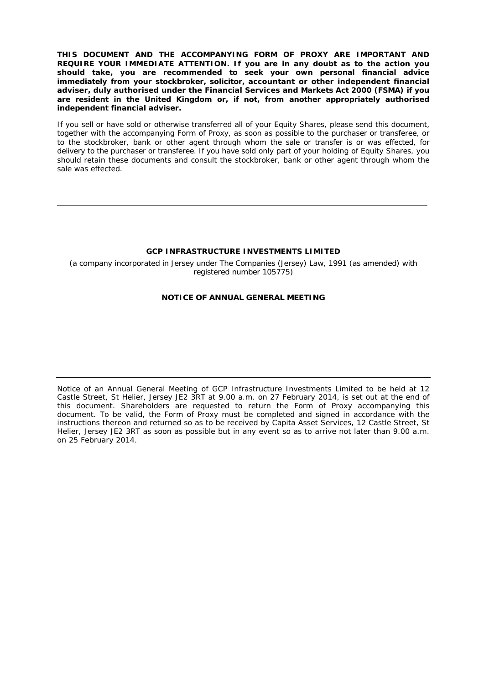**THIS DOCUMENT AND THE ACCOMPANYING FORM OF PROXY ARE IMPORTANT AND REQUIRE YOUR IMMEDIATE ATTENTION. If you are in any doubt as to the action you should take, you are recommended to seek your own personal financial advice immediately from your stockbroker, solicitor, accountant or other independent financial adviser, duly authorised under the Financial Services and Markets Act 2000 (FSMA) if you are resident in the United Kingdom or, if not, from another appropriately authorised independent financial adviser.** 

If you sell or have sold or otherwise transferred all of your Equity Shares, please send this document, together with the accompanying Form of Proxy, as soon as possible to the purchaser or transferee, or to the stockbroker, bank or other agent through whom the sale or transfer is or was effected, for delivery to the purchaser or transferee. If you have sold only part of your holding of Equity Shares, you should retain these documents and consult the stockbroker, bank or other agent through whom the sale was effected.

#### **GCP INFRASTRUCTURE INVESTMENTS LIMITED**

*(a company incorporated in Jersey under The Companies (Jersey) Law, 1991 (as amended) with registered number 105775)* 

## **NOTICE OF ANNUAL GENERAL MEETING**

Notice of an Annual General Meeting of GCP Infrastructure Investments Limited to be held at 12 Castle Street, St Helier, Jersey JE2 3RT at 9.00 a.m. on 27 February 2014, is set out at the end of this document. Shareholders are requested to return the Form of Proxy accompanying this document. To be valid, the Form of Proxy must be completed and signed in accordance with the instructions thereon and returned so as to be received by Capita Asset Services, 12 Castle Street, St Helier, Jersey JE2 3RT as soon as possible but in any event so as to arrive not later than 9.00 a.m. on 25 February 2014.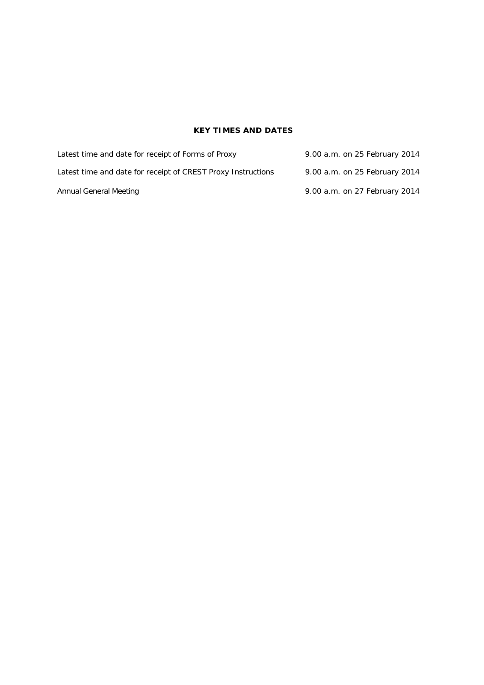# **KEY TIMES AND DATES**

| Latest time and date for receipt of Forms of Proxy           | 9.00 a.m. on 25 February 2014 |
|--------------------------------------------------------------|-------------------------------|
| Latest time and date for receipt of CREST Proxy Instructions | 9.00 a.m. on 25 February 2014 |
| Annual General Meeting                                       | 9.00 a.m. on 27 February 2014 |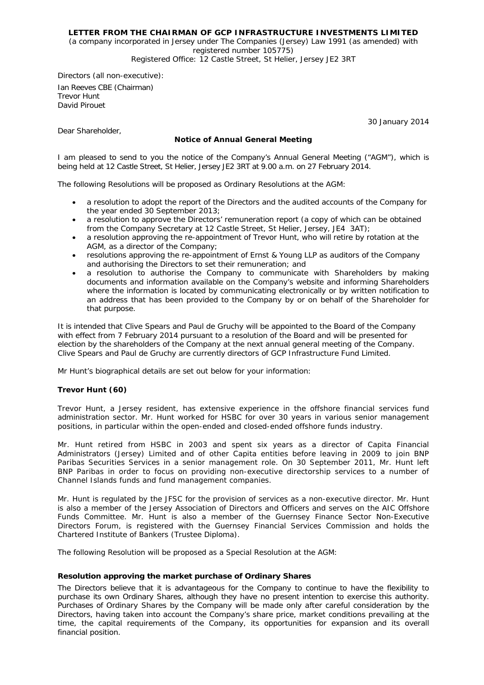## **LETTER FROM THE CHAIRMAN OF GCP INFRASTRUCTURE INVESTMENTS LIMITED**

*(a company incorporated in Jersey under The Companies (Jersey) Law 1991 (as amended) with registered number 105775) Registered Office: 12 Castle Street, St Helier, Jersey JE2 3RT*

*Directors (all non-executive):* 

Ian Reeves CBE *(Chairman)*  Trevor Hunt David Pirouet

30 January 2014

Dear Shareholder,

## **Notice of Annual General Meeting**

I am pleased to send to you the notice of the Company's Annual General Meeting ("AGM"), which is being held at 12 Castle Street, St Helier, Jersey JE2 3RT at 9.00 a.m. on 27 February 2014.

The following Resolutions will be proposed as Ordinary Resolutions at the AGM:

- a resolution to adopt the report of the Directors and the audited accounts of the Company for the year ended 30 September 2013;
- a resolution to approve the Directors' remuneration report (a copy of which can be obtained from the Company Secretary at 12 Castle Street, St Helier, Jersey, JE4 3AT);
- a resolution approving the re-appointment of Trevor Hunt, who will retire by rotation at the AGM, as a director of the Company;
- resolutions approving the re-appointment of Ernst & Young LLP as auditors of the Company and authorising the Directors to set their remuneration; and
- a resolution to authorise the Company to communicate with Shareholders by making documents and information available on the Company's website and informing Shareholders where the information is located by communicating electronically or by written notification to an address that has been provided to the Company by or on behalf of the Shareholder for that purpose.

It is intended that Clive Spears and Paul de Gruchy will be appointed to the Board of the Company with effect from 7 February 2014 pursuant to a resolution of the Board and will be presented for election by the shareholders of the Company at the next annual general meeting of the Company. Clive Spears and Paul de Gruchy are currently directors of GCP Infrastructure Fund Limited.

Mr Hunt's biographical details are set out below for your information:

## *Trevor Hunt (60)*

Trevor Hunt, a Jersey resident, has extensive experience in the offshore financial services fund administration sector. Mr. Hunt worked for HSBC for over 30 years in various senior management positions, in particular within the open-ended and closed-ended offshore funds industry.

Mr. Hunt retired from HSBC in 2003 and spent six years as a director of Capita Financial Administrators (Jersey) Limited and of other Capita entities before leaving in 2009 to join BNP Paribas Securities Services in a senior management role. On 30 September 2011, Mr. Hunt left BNP Paribas in order to focus on providing non-executive directorship services to a number of Channel Islands funds and fund management companies.

Mr. Hunt is regulated by the JFSC for the provision of services as a non-executive director. Mr. Hunt is also a member of the Jersey Association of Directors and Officers and serves on the AIC Offshore Funds Committee. Mr. Hunt is also a member of the Guernsey Finance Sector Non-Executive Directors Forum, is registered with the Guernsey Financial Services Commission and holds the Chartered Institute of Bankers (Trustee Diploma).

The following Resolution will be proposed as a Special Resolution at the AGM:

#### **Resolution approving the market purchase of Ordinary Shares**

The Directors believe that it is advantageous for the Company to continue to have the flexibility to purchase its own Ordinary Shares, although they have no present intention to exercise this authority. Purchases of Ordinary Shares by the Company will be made only after careful consideration by the Directors, having taken into account the Company's share price, market conditions prevailing at the time, the capital requirements of the Company, its opportunities for expansion and its overall financial position.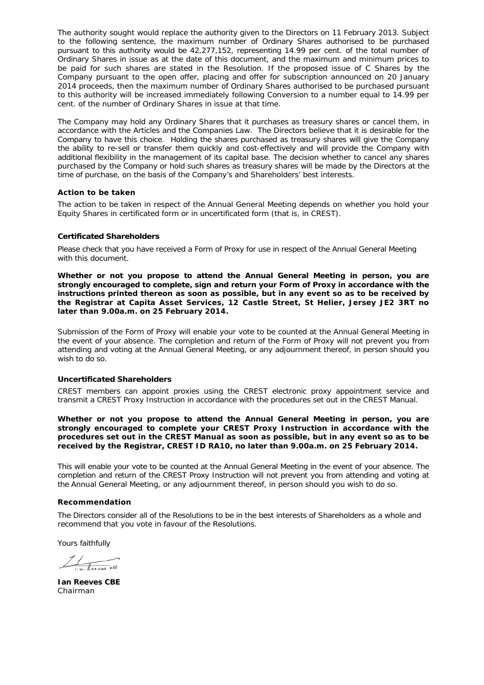The authority sought would replace the authority given to the Directors on 11 February 2013. Subject to the following sentence, the maximum number of Ordinary Shares authorised to be purchased pursuant to this authority would be 42,277,152, representing 14.99 per cent. of the total number of Ordinary Shares in issue as at the date of this document, and the maximum and minimum prices to be paid for such shares are stated in the Resolution. If the proposed issue of C Shares by the Company pursuant to the open offer, placing and offer for subscription announced on 20 January 2014 proceeds, then the maximum number of Ordinary Shares authorised to be purchased pursuant to this authority will be increased immediately following Conversion to a number equal to 14.99 per cent. of the number of Ordinary Shares in issue at that time.

The Company may hold any Ordinary Shares that it purchases as treasury shares or cancel them, in accordance with the Articles and the Companies Law. The Directors believe that it is desirable for the Company to have this choice. Holding the shares purchased as treasury shares will give the Company the ability to re-sell or transfer them quickly and cost-effectively and will provide the Company with additional flexibility in the management of its capital base. The decision whether to cancel any shares purchased by the Company or hold such shares as treasury shares will be made by the Directors at the time of purchase, on the basis of the Company's and Shareholders' best interests.

### **Action to be taken**

The action to be taken in respect of the Annual General Meeting depends on whether you hold your Equity Shares in certificated form or in uncertificated form (that is, in CREST).

#### *Certificated Shareholders*

Please check that you have received a Form of Proxy for use in respect of the Annual General Meeting with this document.

**Whether or not you propose to attend the Annual General Meeting in person, you are strongly encouraged to complete, sign and return your Form of Proxy in accordance with the instructions printed thereon as soon as possible, but in any event so as to be received by the Registrar at Capita Asset Services, 12 Castle Street, St Helier, Jersey JE2 3RT no later than 9.00a.m. on 25 February 2014.** 

Submission of the Form of Proxy will enable your vote to be counted at the Annual General Meeting in the event of your absence. The completion and return of the Form of Proxy will not prevent you from attending and voting at the Annual General Meeting, or any adjournment thereof, in person should you wish to do so.

#### *Uncertificated Shareholders*

CREST members can appoint proxies using the CREST electronic proxy appointment service and transmit a CREST Proxy Instruction in accordance with the procedures set out in the CREST Manual.

**Whether or not you propose to attend the Annual General Meeting in person, you are strongly encouraged to complete your CREST Proxy Instruction in accordance with the procedures set out in the CREST Manual as soon as possible, but in any event so as to be received by the Registrar, CREST ID RA10, no later than 9.00a.m. on 25 February 2014.** 

This will enable your vote to be counted at the Annual General Meeting in the event of your absence. The completion and return of the CREST Proxy Instruction will not prevent you from attending and voting at the Annual General Meeting, or any adjournment thereof, in person should you wish to do so.

### **Recommendation**

The Directors consider all of the Resolutions to be in the best interests of Shareholders as a whole and recommend that you vote in favour of the Resolutions.

Yours faithfully

 $\frac{1}{\sqrt{1+\frac{1}{2}}\sqrt{1+\frac{1}{2}}}}$ 

**Ian Reeves CBE**  *Chairman*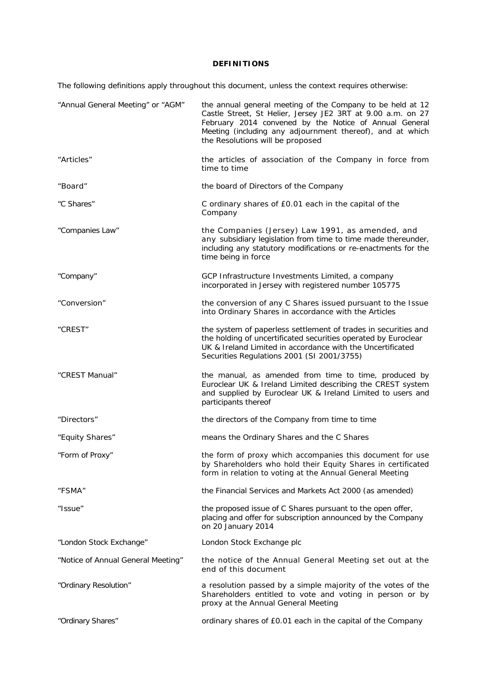## **DEFINITIONS**

The following definitions apply throughout this document, unless the context requires otherwise:

| "Annual General Meeting" or "AGM"  | the annual general meeting of the Company to be held at 12<br>Castle Street, St Helier, Jersey JE2 3RT at 9.00 a.m. on 27<br>February 2014 convened by the Notice of Annual General<br>Meeting (including any adjournment thereof), and at which<br>the Resolutions will be proposed |
|------------------------------------|--------------------------------------------------------------------------------------------------------------------------------------------------------------------------------------------------------------------------------------------------------------------------------------|
| "Articles"                         | the articles of association of the Company in force from<br>time to time                                                                                                                                                                                                             |
| "Board"                            | the board of Directors of the Company                                                                                                                                                                                                                                                |
| "C Shares"                         | C ordinary shares of £0.01 each in the capital of the<br>Company                                                                                                                                                                                                                     |
| "Companies Law"                    | the Companies (Jersey) Law 1991, as amended, and<br>any subsidiary legislation from time to time made thereunder,<br>including any statutory modifications or re-enactments for the<br>time being in force                                                                           |
| "Company"                          | GCP Infrastructure Investments Limited, a company<br>incorporated in Jersey with registered number 105775                                                                                                                                                                            |
| "Conversion"                       | the conversion of any C Shares issued pursuant to the Issue<br>into Ordinary Shares in accordance with the Articles                                                                                                                                                                  |
| "CREST"                            | the system of paperless settlement of trades in securities and<br>the holding of uncertificated securities operated by Euroclear<br>UK & Ireland Limited in accordance with the Uncertificated<br>Securities Regulations 2001 (SI 2001/3755)                                         |
| "CREST Manual"                     | the manual, as amended from time to time, produced by<br>Euroclear UK & Ireland Limited describing the CREST system<br>and supplied by Euroclear UK & Ireland Limited to users and<br>participants thereof                                                                           |
| "Directors"                        | the directors of the Company from time to time                                                                                                                                                                                                                                       |
| "Equity Shares"                    | means the Ordinary Shares and the C Shares                                                                                                                                                                                                                                           |
| "Form of Proxy"                    | the form of proxy which accompanies this document for use<br>by Shareholders who hold their Equity Shares in certificated<br>form in relation to voting at the Annual General Meeting                                                                                                |
| "FSMA"                             | the Financial Services and Markets Act 2000 (as amended)                                                                                                                                                                                                                             |
| "Issue"                            | the proposed issue of C Shares pursuant to the open offer,<br>placing and offer for subscription announced by the Company<br>on 20 January 2014                                                                                                                                      |
| "London Stock Exchange"            | London Stock Exchange plc                                                                                                                                                                                                                                                            |
| "Notice of Annual General Meeting" | the notice of the Annual General Meeting set out at the<br>end of this document                                                                                                                                                                                                      |
| "Ordinary Resolution"              | a resolution passed by a simple majority of the votes of the<br>Shareholders entitled to vote and voting in person or by<br>proxy at the Annual General Meeting                                                                                                                      |
| "Ordinary Shares"                  | ordinary shares of £0.01 each in the capital of the Company                                                                                                                                                                                                                          |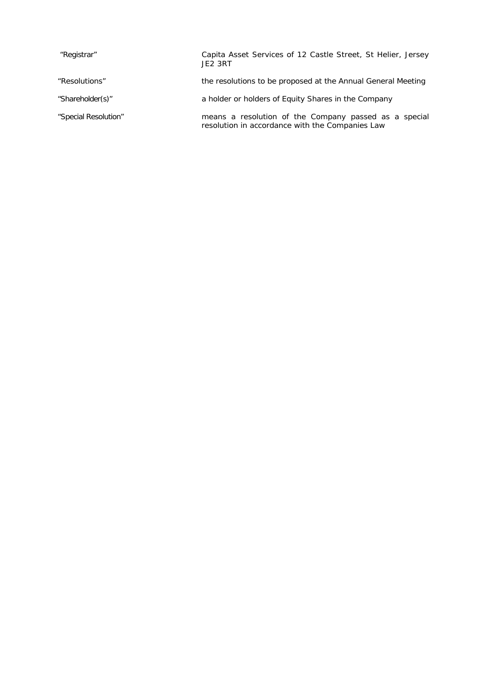| "Registrar"          | Capita Asset Services of 12 Castle Street, St Helier, Jersey<br>JE <sub>2</sub> 3RT                      |
|----------------------|----------------------------------------------------------------------------------------------------------|
| "Resolutions"        | the resolutions to be proposed at the Annual General Meeting                                             |
| "Shareholder(s)"     | a holder or holders of Equity Shares in the Company                                                      |
| "Special Resolution" | means a resolution of the Company passed as a special<br>resolution in accordance with the Companies Law |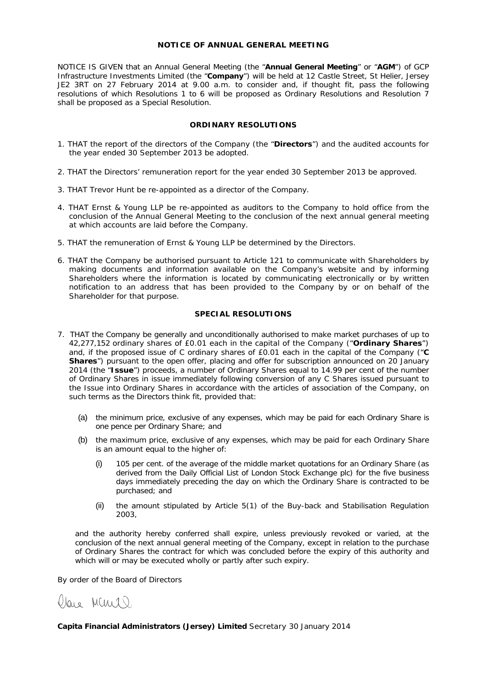#### **NOTICE OF ANNUAL GENERAL MEETING**

NOTICE IS GIVEN that an Annual General Meeting (the "**Annual General Meeting**" or "**AGM**") of GCP Infrastructure Investments Limited (the "**Company**") will be held at 12 Castle Street, St Helier, Jersey JE2 3RT on 27 February 2014 at 9.00 a.m. to consider and, if thought fit, pass the following resolutions of which Resolutions 1 to 6 will be proposed as Ordinary Resolutions and Resolution 7 shall be proposed as a Special Resolution.

## **ORDINARY RESOLUTIONS**

- 1. THAT the report of the directors of the Company (the "**Directors**") and the audited accounts for the year ended 30 September 2013 be adopted.
- 2. THAT the Directors' remuneration report for the year ended 30 September 2013 be approved.
- 3. THAT Trevor Hunt be re-appointed as a director of the Company.
- 4. THAT Ernst & Young LLP be re-appointed as auditors to the Company to hold office from the conclusion of the Annual General Meeting to the conclusion of the next annual general meeting at which accounts are laid before the Company.
- 5. THAT the remuneration of Ernst & Young LLP be determined by the Directors.
- 6. THAT the Company be authorised pursuant to Article 121 to communicate with Shareholders by making documents and information available on the Company's website and by informing Shareholders where the information is located by communicating electronically or by written notification to an address that has been provided to the Company by or on behalf of the Shareholder for that purpose.

## **SPECIAL RESOLUTIONS**

- 7. THAT the Company be generally and unconditionally authorised to make market purchases of up to 42,277,152 ordinary shares of £0.01 each in the capital of the Company ("**Ordinary Shares**") and, if the proposed issue of C ordinary shares of £0.01 each in the capital of the Company ("**C Shares**") pursuant to the open offer, placing and offer for subscription announced on 20 January 2014 (the "**Issue**") proceeds, a number of Ordinary Shares equal to 14.99 per cent of the number of Ordinary Shares in issue immediately following conversion of any C Shares issued pursuant to the Issue into Ordinary Shares in accordance with the articles of association of the Company, on such terms as the Directors think fit, provided that:
	- (a) the minimum price, exclusive of any expenses, which may be paid for each Ordinary Share is one pence per Ordinary Share; and
	- (b) the maximum price, exclusive of any expenses, which may be paid for each Ordinary Share is an amount equal to the higher of:
		- (i) 105 per cent. of the average of the middle market quotations for an Ordinary Share (as derived from the Daily Official List of London Stock Exchange plc) for the five business days immediately preceding the day on which the Ordinary Share is contracted to be purchased; and
		- (ii) the amount stipulated by Article 5(1) of the Buy-back and Stabilisation Regulation 2003,

and the authority hereby conferred shall expire, unless previously revoked or varied, at the conclusion of the next annual general meeting of the Company, except in relation to the purchase of Ordinary Shares the contract for which was concluded before the expiry of this authority and which will or may be executed wholly or partly after such expiry.

By order of the Board of Directors



**Capita Financial Administrators (Jersey) Limited** *Secretary* 30 January 2014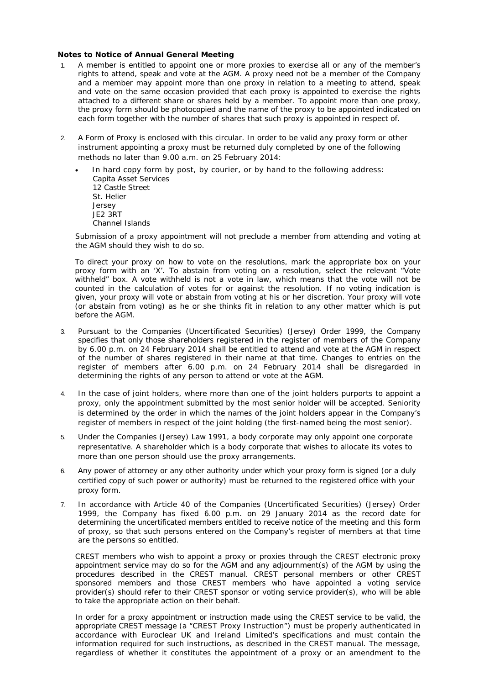### **Notes to Notice of Annual General Meeting**

- 1. A member is entitled to appoint one or more proxies to exercise all or any of the member's rights to attend, speak and vote at the AGM. A proxy need not be a member of the Company and a member may appoint more than one proxy in relation to a meeting to attend, speak and vote on the same occasion provided that each proxy is appointed to exercise the rights attached to a different share or shares held by a member. To appoint more than one proxy, the proxy form should be photocopied and the name of the proxy to be appointed indicated on each form together with the number of shares that such proxy is appointed in respect of.
- 2. A Form of Proxy is enclosed with this circular. In order to be valid any proxy form or other instrument appointing a proxy must be returned duly completed by one of the following methods no later than 9.00 a.m. on 25 February 2014:
	- In hard copy form by post, by courier, or by hand to the following address: Capita Asset Services 12 Castle Street St. Helier Jersey JE2 3RT Channel Islands

Submission of a proxy appointment will not preclude a member from attending and voting at the AGM should they wish to do so.

To direct your proxy on how to vote on the resolutions, mark the appropriate box on your proxy form with an 'X'. To abstain from voting on a resolution, select the relevant "Vote withheld" box. A vote withheld is not a vote in law, which means that the vote will not be counted in the calculation of votes for or against the resolution. If no voting indication is given, your proxy will vote or abstain from voting at his or her discretion. Your proxy will vote (or abstain from voting) as he or she thinks fit in relation to any other matter which is put before the AGM.

- 3. Pursuant to the Companies (Uncertificated Securities) (Jersey) Order 1999, the Company specifies that only those shareholders registered in the register of members of the Company by 6.00 p.m. on 24 February 2014 shall be entitled to attend and vote at the AGM in respect of the number of shares registered in their name at that time. Changes to entries on the register of members after 6.00 p.m. on 24 February 2014 shall be disregarded in determining the rights of any person to attend or vote at the AGM.
- 4. In the case of joint holders, where more than one of the joint holders purports to appoint a proxy, only the appointment submitted by the most senior holder will be accepted. Seniority is determined by the order in which the names of the joint holders appear in the Company's register of members in respect of the joint holding (the first-named being the most senior).
- 5. Under the Companies (Jersey) Law 1991, a body corporate may only appoint one corporate representative. A shareholder which is a body corporate that wishes to allocate its votes to more than one person should use the proxy arrangements.
- 6. Any power of attorney or any other authority under which your proxy form is signed (or a duly certified copy of such power or authority) must be returned to the registered office with your proxy form.
- 7. In accordance with Article 40 of the Companies (Uncertificated Securities) (Jersey) Order 1999, the Company has fixed 6.00 p.m. on 29 January 2014 as the record date for determining the uncertificated members entitled to receive notice of the meeting and this form of proxy, so that such persons entered on the Company's register of members at that time are the persons so entitled.

CREST members who wish to appoint a proxy or proxies through the CREST electronic proxy appointment service may do so for the AGM and any adjournment(s) of the AGM by using the procedures described in the CREST manual. CREST personal members or other CREST sponsored members and those CREST members who have appointed a voting service provider(s) should refer to their CREST sponsor or voting service provider(s), who will be able to take the appropriate action on their behalf.

In order for a proxy appointment or instruction made using the CREST service to be valid, the appropriate CREST message (a "CREST Proxy Instruction") must be properly authenticated in accordance with Euroclear UK and Ireland Limited's specifications and must contain the information required for such instructions, as described in the CREST manual. The message, regardless of whether it constitutes the appointment of a proxy or an amendment to the